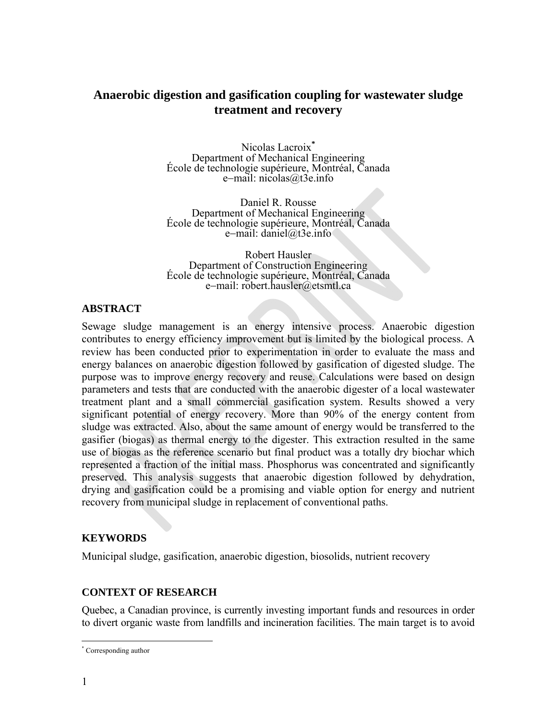# **Anaerobic digestion and gasification coupling for wastewater sludge treatment and recovery**

Nicolas Lacroix<sup>\*</sup><br>Department of Mechanical Engineering École de technologie supérieure, Montréal, Canada e-mail: nicolas@t3e.info

Daniel R. Rousse Department of Mechanical Engineering École de technologie supérieure, Montréal, Canada e-mail: daniel@t3e.info

Robert Hausler<br>Department of Construction Engineering Department of Construction Engineering École de technologie supérieure, Montréal, Canada e-mail: robert.hausler@etsmtl.ca

# **ABSTRACT**

Sewage sludge management is an energy intensive process. Anaerobic digestion contributes to energy efficiency improvement but is limited by the biological process. A review has been conducted prior to experimentation in order to evaluate the mass and energy balances on anaerobic digestion followed by gasification of digested sludge. The purpose was to improve energy recovery and reuse. Calculations were based on design parameters and tests that are conducted with the anaerobic digester of a local wastewater treatment plant and a small commercial gasification system. Results showed a very significant potential of energy recovery. More than 90% of the energy content from sludge was extracted. Also, about the same amount of energy would be transferred to the gasifier (biogas) as thermal energy to the digester. This extraction resulted in the same use of biogas as the reference scenario but final product was a totally dry biochar which represented a fraction of the initial mass. Phosphorus was concentrated and significantly preserved. This analysis suggests that anaerobic digestion followed by dehydration, drying and gasification could be a promising and viable option for energy and nutrient recovery from municipal sludge in replacement of conventional paths.

# **KEYWORDS**

Municipal sludge, gasification, anaerobic digestion, biosolids, nutrient recovery

# **CONTEXT OF RESEARCH**

Quebec, a Canadian province, is currently investing important funds and resources in order to divert organic waste from landfills and incineration facilities. The main target is to avoid

 $\overline{a}$ \* Corresponding author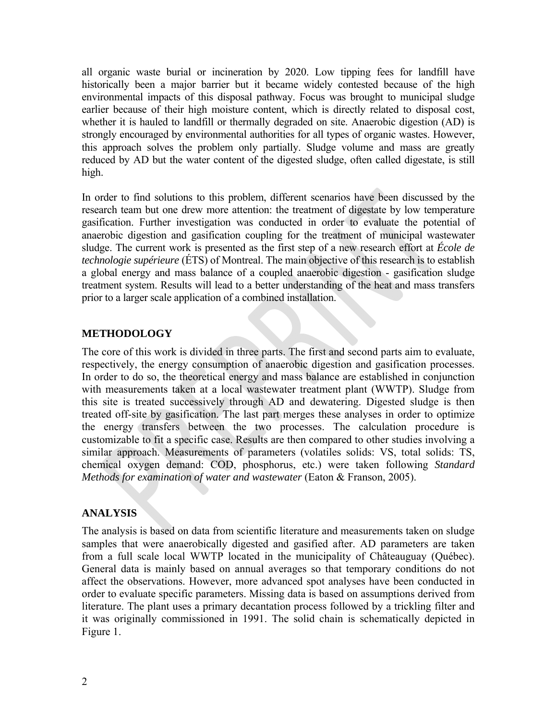all organic waste burial or incineration by 2020. Low tipping fees for landfill have historically been a major barrier but it became widely contested because of the high environmental impacts of this disposal pathway. Focus was brought to municipal sludge earlier because of their high moisture content, which is directly related to disposal cost, whether it is hauled to landfill or thermally degraded on site. Anaerobic digestion (AD) is strongly encouraged by environmental authorities for all types of organic wastes. However, this approach solves the problem only partially. Sludge volume and mass are greatly reduced by AD but the water content of the digested sludge, often called digestate, is still high.

In order to find solutions to this problem, different scenarios have been discussed by the research team but one drew more attention: the treatment of digestate by low temperature gasification. Further investigation was conducted in order to evaluate the potential of anaerobic digestion and gasification coupling for the treatment of municipal wastewater sludge. The current work is presented as the first step of a new research effort at *École de technologie supérieure* (ÉTS) of Montreal. The main objective of this research is to establish a global energy and mass balance of a coupled anaerobic digestion - gasification sludge treatment system. Results will lead to a better understanding of the heat and mass transfers prior to a larger scale application of a combined installation.

### **METHODOLOGY**

The core of this work is divided in three parts. The first and second parts aim to evaluate, respectively, the energy consumption of anaerobic digestion and gasification processes. In order to do so, the theoretical energy and mass balance are established in conjunction with measurements taken at a local wastewater treatment plant (WWTP). Sludge from this site is treated successively through AD and dewatering. Digested sludge is then treated off-site by gasification. The last part merges these analyses in order to optimize the energy transfers between the two processes. The calculation procedure is customizable to fit a specific case. Results are then compared to other studies involving a similar approach. Measurements of parameters (volatiles solids: VS, total solids: TS, chemical oxygen demand: COD, phosphorus, etc.) were taken following *Standard Methods for examination of water and wastewater* (Eaton & Franson, 2005).

### **ANALYSIS**

The analysis is based on data from scientific literature and measurements taken on sludge samples that were anaerobically digested and gasified after. AD parameters are taken from a full scale local WWTP located in the municipality of Châteauguay (Québec). General data is mainly based on annual averages so that temporary conditions do not affect the observations. However, more advanced spot analyses have been conducted in order to evaluate specific parameters. Missing data is based on assumptions derived from literature. The plant uses a primary decantation process followed by a trickling filter and it was originally commissioned in 1991. The solid chain is schematically depicted in Figure 1.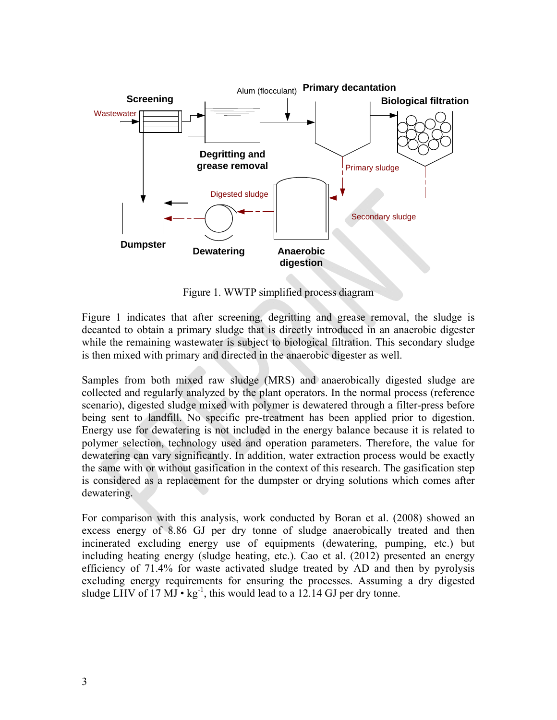

Figure 1. WWTP simplified process diagram

Figure 1 indicates that after screening, degritting and grease removal, the sludge is decanted to obtain a primary sludge that is directly introduced in an anaerobic digester while the remaining wastewater is subject to biological filtration. This secondary sludge is then mixed with primary and directed in the anaerobic digester as well.

Samples from both mixed raw sludge (MRS) and anaerobically digested sludge are collected and regularly analyzed by the plant operators. In the normal process (reference scenario), digested sludge mixed with polymer is dewatered through a filter-press before being sent to landfill. No specific pre-treatment has been applied prior to digestion. Energy use for dewatering is not included in the energy balance because it is related to polymer selection, technology used and operation parameters. Therefore, the value for dewatering can vary significantly. In addition, water extraction process would be exactly the same with or without gasification in the context of this research. The gasification step is considered as a replacement for the dumpster or drying solutions which comes after dewatering.

For comparison with this analysis, work conducted by Boran et al. (2008) showed an excess energy of 8.86 GJ per dry tonne of sludge anaerobically treated and then incinerated excluding energy use of equipments (dewatering, pumping, etc.) but including heating energy (sludge heating, etc.). Cao et al. (2012) presented an energy efficiency of 71.4% for waste activated sludge treated by AD and then by pyrolysis excluding energy requirements for ensuring the processes. Assuming a dry digested sludge LHV of  $17 \text{ MJ} \cdot \text{kg}^{-1}$ , this would lead to a 12.14 GJ per dry tonne.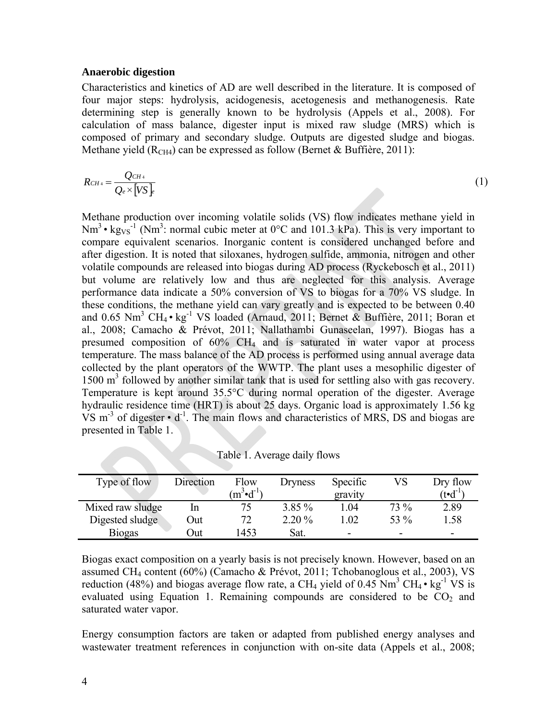#### **Anaerobic digestion**

Characteristics and kinetics of AD are well described in the literature. It is composed of four major steps: hydrolysis, acidogenesis, acetogenesis and methanogenesis. Rate determining step is generally known to be hydrolysis (Appels et al., 2008). For calculation of mass balance, digester input is mixed raw sludge (MRS) which is composed of primary and secondary sludge. Outputs are digested sludge and biogas. Methane yield ( $R<sub>CH4</sub>$ ) can be expressed as follow (Bernet & Buffière, 2011):

$$
R_{CH4} = \frac{Q_{CH4}}{Q_e \times [VS]_F}
$$
 (1)

Methane production over incoming volatile solids (VS) flow indicates methane yield in  $Nm^3$  • kg<sub>VS</sub><sup>-1</sup> (Nm<sup>3</sup>: normal cubic meter at 0°C and 101.3 kPa). This is very important to compare equivalent scenarios. Inorganic content is considered unchanged before and after digestion. It is noted that siloxanes, hydrogen sulfide, ammonia, nitrogen and other volatile compounds are released into biogas during AD process (Ryckebosch et al., 2011) but volume are relatively low and thus are neglected for this analysis. Average performance data indicate a 50% conversion of VS to biogas for a 70% VS sludge. In these conditions, the methane yield can vary greatly and is expected to be between 0.40 and 0.65 Nm<sup>3</sup> CH<sub>4</sub> · kg<sup>-1</sup> VS loaded (Arnaud, 2011; Bernet & Buffière, 2011; Boran et al., 2008; Camacho & Prévot, 2011; Nallathambi Gunaseelan, 1997). Biogas has a presumed composition of 60% CH4 and is saturated in water vapor at process temperature. The mass balance of the AD process is performed using annual average data collected by the plant operators of the WWTP. The plant uses a mesophilic digester of 1500 m<sup>3</sup> followed by another similar tank that is used for settling also with gas recovery. Temperature is kept around 35.5°C during normal operation of the digester. Average hydraulic residence time (HRT) is about 25 days. Organic load is approximately 1.56 kg VS  $m<sup>-3</sup>$  of digester  $\cdot$  d<sup>-1</sup>. The main flows and characteristics of MRS, DS and biogas are presented in Table 1.

| Type of flow     | Direction | Flow<br>$\mathrm{m}^3\text{-}\mathrm{d}^{-1}\mathrm{m}$ | <b>Dryness</b> | Specific<br>gravity | VS   | Dry flow<br>$(t \cdot d^{-1})$ |
|------------------|-----------|---------------------------------------------------------|----------------|---------------------|------|--------------------------------|
| Mixed raw sludge | In        |                                                         | $3.85\%$       | 1.04                | 73 % | 2.89                           |
| Digested sludge  | )ut       | 72                                                      | $2.20\%$       | .02                 | 53 % | l.58                           |
| <b>Biogas</b>    | )ut       | 1453                                                    | Sat.           | -                   | -    | -                              |

Table 1. Average daily flows

Biogas exact composition on a yearly basis is not precisely known. However, based on an assumed CH4 content (60%) (Camacho & Prévot, 2011; Tchobanoglous et al., 2003), VS reduction (48%) and biogas average flow rate, a CH<sub>4</sub> yield of 0.45 Nm<sup>3</sup> CH<sub>4</sub> • kg<sup>-1</sup> VS is evaluated using Equation 1. Remaining compounds are considered to be  $CO<sub>2</sub>$  and saturated water vapor.

Energy consumption factors are taken or adapted from published energy analyses and wastewater treatment references in conjunction with on-site data (Appels et al., 2008;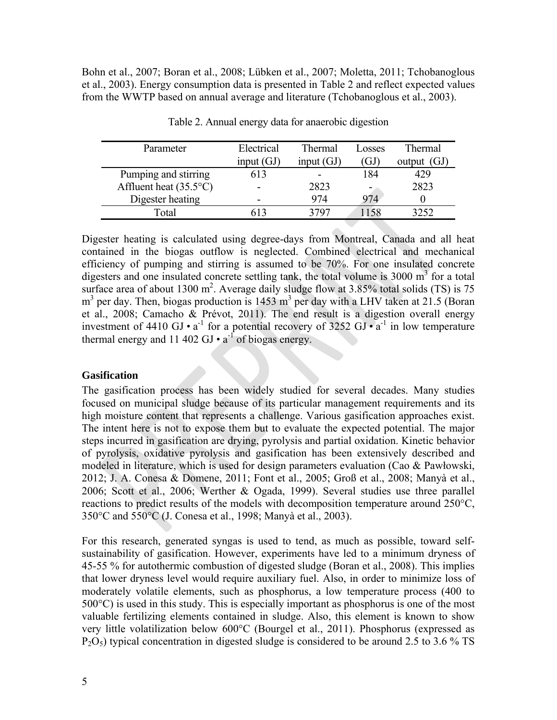Bohn et al., 2007; Boran et al., 2008; Lübken et al., 2007; Moletta, 2011; Tchobanoglous et al., 2003). Energy consumption data is presented in Table 2 and reflect expected values from the WWTP based on annual average and literature (Tchobanoglous et al., 2003).

| Parameter                       | Electrical   | Thermal      | Losses | Thermal       |
|---------------------------------|--------------|--------------|--------|---------------|
|                                 | input $(GJ)$ | input $(GJ)$ | GJ     | output $(GJ)$ |
| Pumping and stirring            | 613          |              | 184    | 429           |
| Affluent heat $(35.5^{\circ}C)$ |              | 2823         |        | 2823          |
| Digester heating                |              | 974          | 974    |               |
| Total                           |              | 3707         |        | 3252          |

Table 2. Annual energy data for anaerobic digestion

Digester heating is calculated using degree-days from Montreal, Canada and all heat contained in the biogas outflow is neglected. Combined electrical and mechanical efficiency of pumping and stirring is assumed to be 70%. For one insulated concrete digesters and one insulated concrete settling tank, the total volume is  $3000 \text{ m}^3$  for a total surface area of about 1300 m<sup>2</sup>. Average daily sludge flow at 3.85% total solids (TS) is 75  $m<sup>3</sup>$  per day. Then, biogas production is 1453  $m<sup>3</sup>$  per day with a LHV taken at 21.5 (Boran et al., 2008; Camacho & Prévot, 2011). The end result is a digestion overall energy investment of 4410 GJ •  $a^{-1}$  for a potential recovery of 3252 GJ •  $a^{-1}$  in low temperature thermal energy and 11 402 GJ  $\cdot$  a<sup>-1</sup> of biogas energy.

### **Gasification**

The gasification process has been widely studied for several decades. Many studies focused on municipal sludge because of its particular management requirements and its high moisture content that represents a challenge. Various gasification approaches exist. The intent here is not to expose them but to evaluate the expected potential. The major steps incurred in gasification are drying, pyrolysis and partial oxidation. Kinetic behavior of pyrolysis, oxidative pyrolysis and gasification has been extensively described and modeled in literature, which is used for design parameters evaluation (Cao & Pawłowski, 2012; J. A. Conesa & Domene, 2011; Font et al., 2005; Groß et al., 2008; Manyà et al., 2006; Scott et al., 2006; Werther & Ogada, 1999). Several studies use three parallel reactions to predict results of the models with decomposition temperature around 250°C, 350°C and 550°C (J. Conesa et al., 1998; Manyà et al., 2003).

For this research, generated syngas is used to tend, as much as possible, toward selfsustainability of gasification. However, experiments have led to a minimum dryness of 45-55 % for autothermic combustion of digested sludge (Boran et al., 2008). This implies that lower dryness level would require auxiliary fuel. Also, in order to minimize loss of moderately volatile elements, such as phosphorus, a low temperature process (400 to 500°C) is used in this study. This is especially important as phosphorus is one of the most valuable fertilizing elements contained in sludge. Also, this element is known to show very little volatilization below 600°C (Bourgel et al., 2011). Phosphorus (expressed as  $P_2O_5$ ) typical concentration in digested sludge is considered to be around 2.5 to 3.6 % TS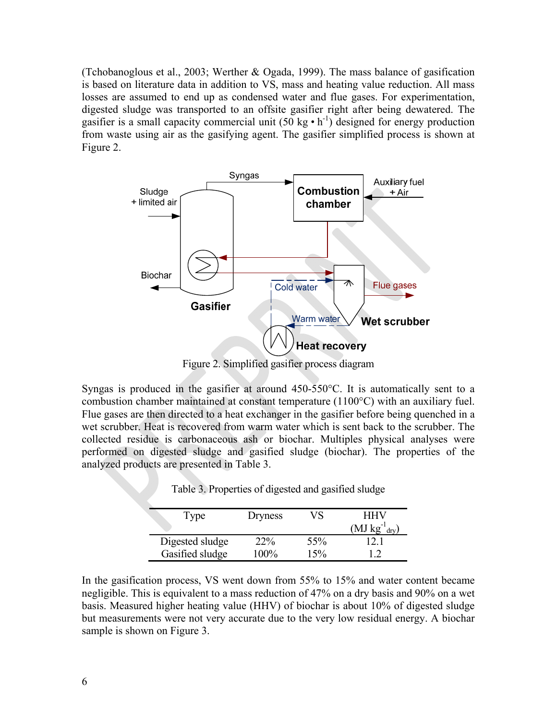(Tchobanoglous et al., 2003; Werther & Ogada, 1999). The mass balance of gasification is based on literature data in addition to VS, mass and heating value reduction. All mass losses are assumed to end up as condensed water and flue gases. For experimentation, digested sludge was transported to an offsite gasifier right after being dewatered. The gasifier is a small capacity commercial unit  $(50 \text{ kg} \cdot \text{h}^{-1})$  designed for energy production from waste using air as the gasifying agent. The gasifier simplified process is shown at Figure 2.



Figure 2. Simplified gasifier process diagram

Syngas is produced in the gasifier at around 450-550°C. It is automatically sent to a combustion chamber maintained at constant temperature (1100°C) with an auxiliary fuel. Flue gases are then directed to a heat exchanger in the gasifier before being quenched in a wet scrubber. Heat is recovered from warm water which is sent back to the scrubber. The collected residue is carbonaceous ash or biochar. Multiples physical analyses were performed on digested sludge and gasified sludge (biochar). The properties of the analyzed products are presented in Table 3.

| Type            | Dryness | VS  | HHV<br>$(MJ kg^{-1}_{\text{dry}})$ |
|-----------------|---------|-----|------------------------------------|
| Digested sludge | $22\%$  | 55% |                                    |
| Gasified sludge | 100%    | 15% |                                    |

Table 3. Properties of digested and gasified sludge

In the gasification process, VS went down from 55% to 15% and water content became negligible. This is equivalent to a mass reduction of 47% on a dry basis and 90% on a wet basis. Measured higher heating value (HHV) of biochar is about 10% of digested sludge but measurements were not very accurate due to the very low residual energy. A biochar sample is shown on Figure 3.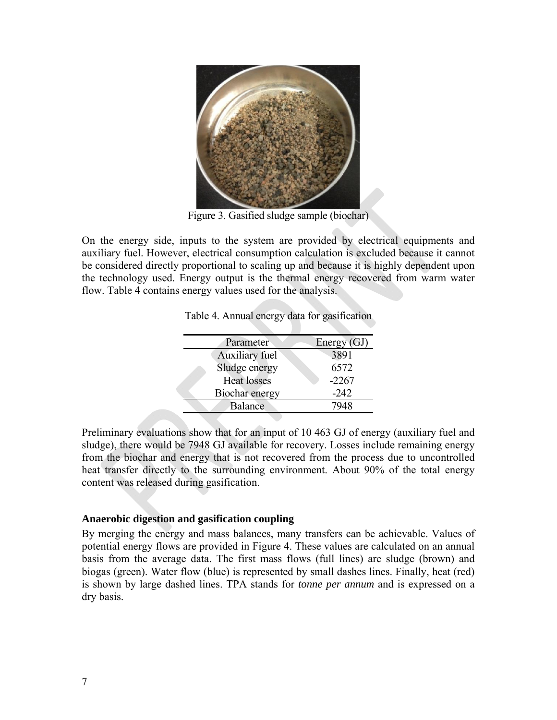

Figure 3. Gasified sludge sample (biochar)

On the energy side, inputs to the system are provided by electrical equipments and auxiliary fuel. However, electrical consumption calculation is excluded because it cannot be considered directly proportional to scaling up and because it is highly dependent upon the technology used. Energy output is the thermal energy recovered from warm water flow. Table 4 contains energy values used for the analysis.

| Parameter          | Energy (GJ) |
|--------------------|-------------|
| Auxiliary fuel     | 3891        |
| Sludge energy      | 6572        |
| <b>Heat losses</b> | $-2267$     |
| Biochar energy     | $-242$      |
| Balance            | 7948        |
|                    |             |

Table 4. Annual energy data for gasification

Preliminary evaluations show that for an input of 10 463 GJ of energy (auxiliary fuel and sludge), there would be 7948 GJ available for recovery. Losses include remaining energy from the biochar and energy that is not recovered from the process due to uncontrolled heat transfer directly to the surrounding environment. About 90% of the total energy content was released during gasification.

### **Anaerobic digestion and gasification coupling**

By merging the energy and mass balances, many transfers can be achievable. Values of potential energy flows are provided in Figure 4. These values are calculated on an annual basis from the average data. The first mass flows (full lines) are sludge (brown) and biogas (green). Water flow (blue) is represented by small dashes lines. Finally, heat (red) is shown by large dashed lines. TPA stands for *tonne per annum* and is expressed on a dry basis.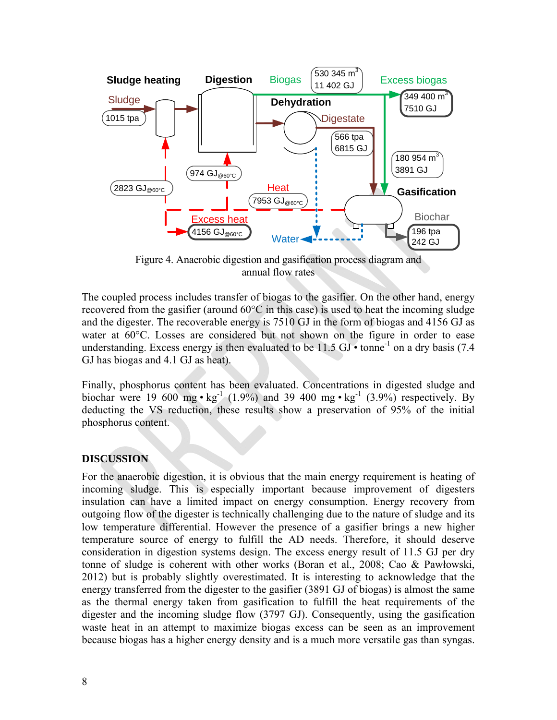

Figure 4. Anaerobic digestion and gasification process diagram and annual flow rates

The coupled process includes transfer of biogas to the gasifier. On the other hand, energy recovered from the gasifier (around 60°C in this case) is used to heat the incoming sludge and the digester. The recoverable energy is 7510 GJ in the form of biogas and 4156 GJ as water at 60°C. Losses are considered but not shown on the figure in order to ease understanding. Excess energy is then evaluated to be 11.5 GJ  $\cdot$  tonne<sup>-1</sup> on a dry basis (7.4) GJ has biogas and 4.1 GJ as heat).

Finally, phosphorus content has been evaluated. Concentrations in digested sludge and biochar were 19 600 mg •  $kg^{-1}$  (1.9%) and 39 400 mg •  $kg^{-1}$  (3.9%) respectively. By deducting the VS reduction, these results show a preservation of 95% of the initial phosphorus content.

# **DISCUSSION**

For the anaerobic digestion, it is obvious that the main energy requirement is heating of incoming sludge. This is especially important because improvement of digesters insulation can have a limited impact on energy consumption. Energy recovery from outgoing flow of the digester is technically challenging due to the nature of sludge and its low temperature differential. However the presence of a gasifier brings a new higher temperature source of energy to fulfill the AD needs. Therefore, it should deserve consideration in digestion systems design. The excess energy result of 11.5 GJ per dry tonne of sludge is coherent with other works (Boran et al., 2008; Cao & Pawłowski, 2012) but is probably slightly overestimated. It is interesting to acknowledge that the energy transferred from the digester to the gasifier (3891 GJ of biogas) is almost the same as the thermal energy taken from gasification to fulfill the heat requirements of the digester and the incoming sludge flow (3797 GJ). Consequently, using the gasification waste heat in an attempt to maximize biogas excess can be seen as an improvement because biogas has a higher energy density and is a much more versatile gas than syngas.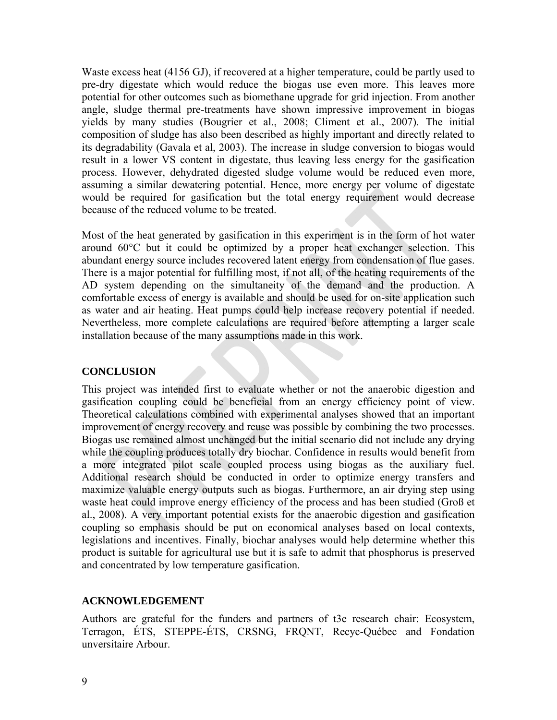Waste excess heat (4156 GJ), if recovered at a higher temperature, could be partly used to pre-dry digestate which would reduce the biogas use even more. This leaves more potential for other outcomes such as biomethane upgrade for grid injection. From another angle, sludge thermal pre-treatments have shown impressive improvement in biogas yields by many studies (Bougrier et al., 2008; Climent et al., 2007). The initial composition of sludge has also been described as highly important and directly related to its degradability (Gavala et al, 2003). The increase in sludge conversion to biogas would result in a lower VS content in digestate, thus leaving less energy for the gasification process. However, dehydrated digested sludge volume would be reduced even more, assuming a similar dewatering potential. Hence, more energy per volume of digestate would be required for gasification but the total energy requirement would decrease because of the reduced volume to be treated.

Most of the heat generated by gasification in this experiment is in the form of hot water around 60°C but it could be optimized by a proper heat exchanger selection. This abundant energy source includes recovered latent energy from condensation of flue gases. There is a major potential for fulfilling most, if not all, of the heating requirements of the AD system depending on the simultaneity of the demand and the production. A comfortable excess of energy is available and should be used for on-site application such as water and air heating. Heat pumps could help increase recovery potential if needed. Nevertheless, more complete calculations are required before attempting a larger scale installation because of the many assumptions made in this work.

### **CONCLUSION**

This project was intended first to evaluate whether or not the anaerobic digestion and gasification coupling could be beneficial from an energy efficiency point of view. Theoretical calculations combined with experimental analyses showed that an important improvement of energy recovery and reuse was possible by combining the two processes. Biogas use remained almost unchanged but the initial scenario did not include any drying while the coupling produces totally dry biochar. Confidence in results would benefit from a more integrated pilot scale coupled process using biogas as the auxiliary fuel. Additional research should be conducted in order to optimize energy transfers and maximize valuable energy outputs such as biogas. Furthermore, an air drying step using waste heat could improve energy efficiency of the process and has been studied (Groß et al., 2008). A very important potential exists for the anaerobic digestion and gasification coupling so emphasis should be put on economical analyses based on local contexts, legislations and incentives. Finally, biochar analyses would help determine whether this product is suitable for agricultural use but it is safe to admit that phosphorus is preserved and concentrated by low temperature gasification.

### **ACKNOWLEDGEMENT**

Authors are grateful for the funders and partners of t3e research chair: Ecosystem, Terragon, ÉTS, STEPPE-ÉTS, CRSNG, FRQNT, Recyc-Québec and Fondation unversitaire Arbour.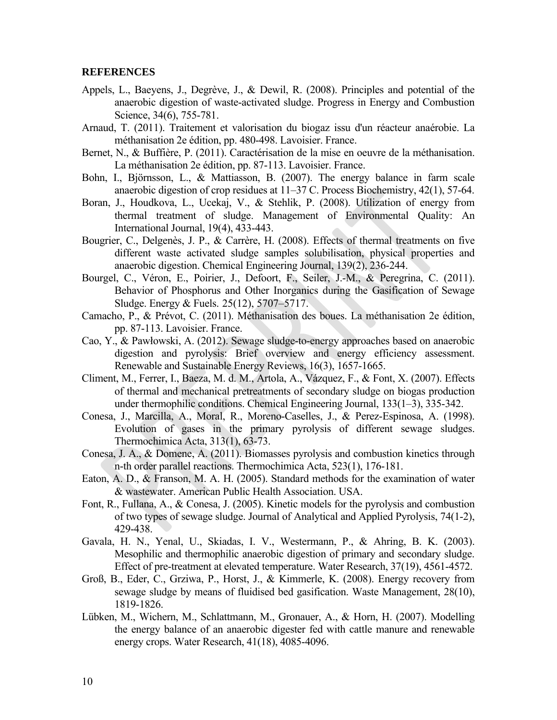#### **REFERENCES**

- Appels, L., Baeyens, J., Degrève, J., & Dewil, R. (2008). Principles and potential of the anaerobic digestion of waste-activated sludge. Progress in Energy and Combustion Science, 34(6), 755-781.
- Arnaud, T. (2011). Traitement et valorisation du biogaz issu d'un réacteur anaérobie. La méthanisation 2e édition, pp. 480-498. Lavoisier. France.
- Bernet, N., & Buffière, P. (2011). Caractérisation de la mise en oeuvre de la méthanisation. La méthanisation 2e édition, pp. 87-113. Lavoisier. France.
- Bohn, I., Björnsson, L., & Mattiasson, B. (2007). The energy balance in farm scale anaerobic digestion of crop residues at 11–37 C. Process Biochemistry, 42(1), 57-64.
- Boran, J., Houdkova, L., Ucekaj, V., & Stehlik, P. (2008). Utilization of energy from thermal treatment of sludge. Management of Environmental Quality: An International Journal, 19(4), 433-443.
- Bougrier, C., Delgenès, J. P., & Carrère, H. (2008). Effects of thermal treatments on five different waste activated sludge samples solubilisation, physical properties and anaerobic digestion. Chemical Engineering Journal, 139(2), 236-244.
- Bourgel, C., Véron, E., Poirier, J., Defoort, F., Seiler, J.-M., & Peregrina, C. (2011). Behavior of Phosphorus and Other Inorganics during the Gasification of Sewage Sludge. Energy & Fuels. 25(12), 5707–5717.
- Camacho, P., & Prévot, C. (2011). Méthanisation des boues. La méthanisation 2e édition, pp. 87-113. Lavoisier. France.
- Cao, Y., & Pawłowski, A. (2012). Sewage sludge-to-energy approaches based on anaerobic digestion and pyrolysis: Brief overview and energy efficiency assessment. Renewable and Sustainable Energy Reviews, 16(3), 1657-1665.
- Climent, M., Ferrer, I., Baeza, M. d. M., Artola, A., Vázquez, F., & Font, X. (2007). Effects of thermal and mechanical pretreatments of secondary sludge on biogas production under thermophilic conditions. Chemical Engineering Journal, 133(1–3), 335-342.
- Conesa, J., Marcilla, A., Moral, R., Moreno-Caselles, J., & Perez-Espinosa, A. (1998). Evolution of gases in the primary pyrolysis of different sewage sludges. Thermochimica Acta, 313(1), 63-73.
- Conesa, J. A., & Domene, A. (2011). Biomasses pyrolysis and combustion kinetics through n-th order parallel reactions. Thermochimica Acta, 523(1), 176-181.
- Eaton, A. D., & Franson, M. A. H. (2005). Standard methods for the examination of water & wastewater. American Public Health Association. USA.
- Font, R., Fullana, A., & Conesa, J. (2005). Kinetic models for the pyrolysis and combustion of two types of sewage sludge. Journal of Analytical and Applied Pyrolysis, 74(1-2), 429-438.
- Gavala, H. N., Yenal, U., Skiadas, I. V., Westermann, P., & Ahring, B. K. (2003). Mesophilic and thermophilic anaerobic digestion of primary and secondary sludge. Effect of pre-treatment at elevated temperature. Water Research, 37(19), 4561-4572.
- Groß, B., Eder, C., Grziwa, P., Horst, J., & Kimmerle, K. (2008). Energy recovery from sewage sludge by means of fluidised bed gasification. Waste Management, 28(10), 1819-1826.
- Lübken, M., Wichern, M., Schlattmann, M., Gronauer, A., & Horn, H. (2007). Modelling the energy balance of an anaerobic digester fed with cattle manure and renewable energy crops. Water Research, 41(18), 4085-4096.